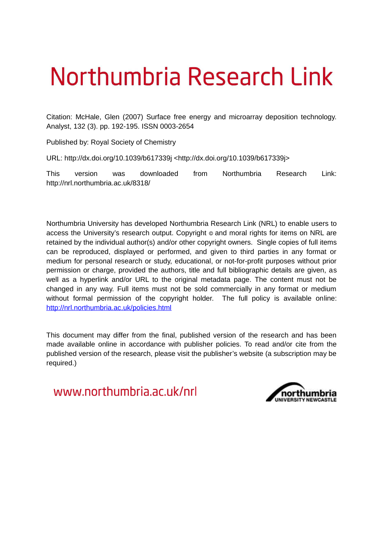# Northumbria Research Link

Citation: McHale, Glen (2007) Surface free energy and microarray deposition technology. Analyst, 132 (3). pp. 192-195. ISSN 0003-2654

Published by: Royal Society of Chemistry

URL: http://dx.doi.org/10.1039/b617339j <http://dx.doi.org/10.1039/b617339j>

This version was downloaded from Northumbria Research Link: http://nrl.northumbria.ac.uk/8318/

Northumbria University has developed Northumbria Research Link (NRL) to enable users to access the University's research output. Copyright © and moral rights for items on NRL are retained by the individual author(s) and/or other copyright owners. Single copies of full items can be reproduced, displayed or performed, and given to third parties in any format or medium for personal research or study, educational, or not-for-profit purposes without prior permission or charge, provided the authors, title and full bibliographic details are given, as well as a hyperlink and/or URL to the original metadata page. The content must not be changed in any way. Full items must not be sold commercially in any format or medium without formal permission of the copyright holder. The full policy is available online: <http://nrl.northumbria.ac.uk/policies.html>

This document may differ from the final, published version of the research and has been made available online in accordance with publisher policies. To read and/or cite from the published version of the research, please visit the publisher's website (a subscription may be required.)

www.northumbria.ac.uk/nrl

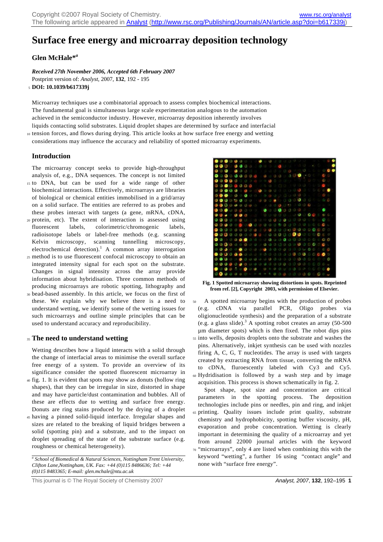# **Surface free energy and microarray deposition technology**

# **Glen McHale\****<sup>a</sup>*

*Received 27th November 2006, Accepted 6th February 2007*  Postprint version of: *Analyst*, 2007, **132**, 192 - 195 <sup>5</sup>**DOI: 10.1039/b617339j** 

Microarray techniques use a combinatorial approach to assess complex biochemical interactions. The fundamental goal is simultaneous large scale experimentation analogous to the automation achieved in the semiconductor industry. However, microarray deposition inherently involves liquids contacting solid substrates. Liquid droplet shapes are determined by surface and interfacial <sup>10</sup>tension forces, and flows during drying. This article looks at how surface free energy and wetting

considerations may influence the accuracy and reliability of spotted microarray experiments.

# **Introduction**

The microarray concept seeks to provide high-throughput analysis of, e.g., DNA sequences. The concept is not limited

- <sup>15</sup>to DNA, but can be used for a wide range of other biochemical interactions. Effectively, microarrays are libraries of biological or chemical entities immobilised in a grid/array on a solid surface. The entities are referred to as probes and these probes interact with targets (a gene, mRNA, cDNA,
- <sup>20</sup>protein, etc). The extent of interaction is assessed using fluorescent labels, colorimetric/chromogenic labels, radioisotope labels or label-free methods (e.g. scanning Kelvin microscopy, scanning tunnelling microscopy, electrochemical detection).<sup>1</sup> A common array interrogation
- <sup>25</sup>method is to use fluorescent confocal microscopy to obtain an integrated intensity signal for each spot on the substrate. Changes in signal intensity across the array provide information about hybridisation. Three common methods of producing microarrays are robotic spotting, lithography and
- <sup>30</sup>bead-based assembly. In this article, we focus on the first of these. We explain why we believe there is a need to understand wetting, we identify some of the wetting issues for such microarrays and outline simple principles that can be used to understand accuracy and reproducibility.

# <sup>35</sup>**The need to understand wetting**

Wetting describes how a liquid interacts with a solid through the change of interfacial areas to minimise the overall surface free energy of a system. To provide an overview of its significance consider the spotted fluorescent microarray in

- <sup>40</sup>fig. 1. It is evident that spots may show as donuts (hollow ring shapes), that they can be irregular in size, distorted in shape and may have particle/dust contamination and bubbles. All of these are effects due to wetting and surface free energy. Donuts are ring stains produced by the drying of a droplet
- <sup>45</sup>having a pinned solid-liquid interface. Irregular shapes and sizes are related to the breaking of liquid bridges between a solid (spotting pin) and a substrate, and to the impact on droplet spreading of the state of the substrate surface (e.g. roughness or chemical heterogeneity).

<sup>a</sup> School of Biomedical & Natural Sciences, Nottingham Trent University, *Clifton Lane,Nottingham, UK. Fax: +44 (0)115 8486636; Tel: +44 (0)115 8483365; E-mail: glen.mchale@ntu.ac.uk*



**Fig. 1 Spotted microarray showing distortions in spots. Reprinted from ref. [2], Copyright 2003, with permission of Elsevier.**

<sup>50</sup>A spotted microarray begins with the production of probes (e.g. cDNA via parallel PCR, Oligo probes via oligionucleotide synthesis) and the preparation of a substrate (e.g. a glass slide).<sup>3</sup> A spotting robot creates an array  $(50-500)$ µm diameter spots) which is then fixed. The robot dips pins <sup>55</sup>into wells, deposits droplets onto the substrate and washes the pins. Alternatively, inkjet synthesis can be used with nozzles firing A, C, G, T nucleotides. The array is used with targets created by extracting RNA from tissue, converting the mRNA to cDNA, fluroescently labeled with Cy3 and Cy5. <sup>60</sup>Hydridisation is followed by a wash step and by image acquisition. This process is shown schematically in fig. 2.

 Spot shape, spot size and concentration are critical parameters in the spotting process. The deposition technologies include pins or needles, pin and ring, and inkjet <sup>65</sup>printing. Quality issues include print quality, substrate chemistry and hydrophobicity, spotting buffer viscosity, pH, evaporation and probe concentration. Wetting is clearly important in determining the quality of a microarray and yet from around 22000 journal articles with the keyword <sup>70</sup>"microarrays", only 4 are listed when combining this with the keyword "wetting", a further 16 using "contact angle" and none with "surface free energy".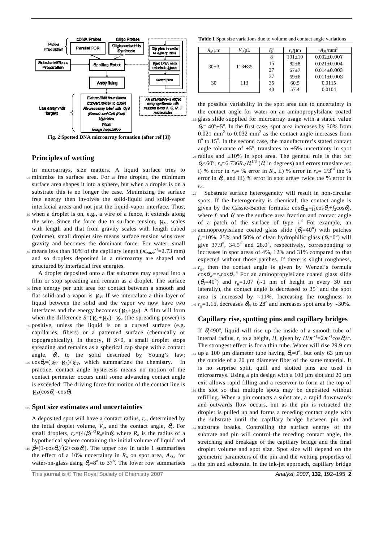

**Fig. 2 Spotted DNA microarray formation (after ref [3])** 

# **Principles of wetting**

- In microarrays, size matters. A liquid surface tries to <sup>75</sup>minimize its surface area. For a free droplet, the minimum surface area shapes it into a sphere, but when a droplet is on a substrate this is no longer the case. Minimizing the surface free energy then involves the solid-liquid and solid-vapor interfacial areas and not just the liquid-vapor interface. Thus,
- <sup>80</sup>when a droplet is on, e.g., a wire of a fence, it extends along the wire. Since the force due to surface tension,  $\gamma_{LV}$ , scales with length and that from gravity scales with length cubed (volume), small droplet size means surface tension wins over gravity and becomes the dominant force. For water, small  $\mu$  means less than 10% of the capillary length ( $\kappa_{water}^{-1}$ =2.73 mm)
- and so droplets deposited in a microarray are shaped and structured by interfacial free energies.

 A droplet deposited onto a flat substrate may spread into a film or stop spreading and remain as a droplet. The surface <sup>90</sup>free energy per unit area for contact between a smooth and flat solid and a vapor is *γ*<sub>SV</sub>. If we intercalate a thin layer of liquid between the solid and the vapor we now have two interfaces and the energy becomes ( $\gamma_{SL} + \gamma_{LV}$ ). A film will form when the difference *S*=( $\gamma_{SI} + \gamma_{LV}$ )-  $\gamma_{SV}$  (the spreading power) is

<sup>95</sup>positive, unless the liquid is on a curved surface (e.g. capillaries, fibers) or a patterned surface (chemically or topographically). In theory, if *S*<0, a small droplet stops spreading and remains as a spherical cap shape with a contact angle,  $\theta_e$ , to the solid described by Young's law:  $100 \cos \theta_e = (\gamma_{SV} + \gamma_{SL})/\gamma_{LV}$ , which summarizes the chemistry. In practice, contact angle hysteresis means no motion of the contact perimeter occurs until some advancing contact angle

is exceeded. The driving force for motion of the contact line is

<sup>105</sup>**Spot size estimates and uncertainties** 

 $\gamma_{LV}(\cos\theta_e - \cos\theta)$ .

A deposited spot will have a contact radius, *ro*, determined by the intial droplet volume, *Vo*, and the contact angle, θ*<sup>e</sup>* . For small droplets,  $r_o = (4/\beta)^{1/3} R_o \sin \theta_e$  where  $R_o$  is the radius of a hypothetical sphere containing the initial volume of liquid and <sup>110</sup>  $\beta = (1-\cos\theta_e)^2(2+\cos\theta_e)$ . The upper row in table 1 summarises the effect of a 10% uncertainty in  $R_0$  on spot area,  $A_{SI}$ , for water-on-glass using  $\theta_e = 8^\circ$  to 37°. The lower row summarises **Table 1** Spot size variations due to volume and contact angle variations

| $R_o/\mu m$ | $V_o$ /pL    | $\theta_{\!\scriptscriptstyle e}^{\scriptscriptstyle 0}$ | $r_o/\mu m$  | $A_{SI}/mm^2$     |
|-------------|--------------|----------------------------------------------------------|--------------|-------------------|
| 30±3        | $113 \pm 35$ | 8                                                        | $101 \pm 10$ | $0.032 \pm 0.007$ |
|             |              | 15                                                       | $82\pm8$     | $0.021 \pm 0.004$ |
|             |              | 27                                                       | $67 + 7$     | $0.014\pm0.003$   |
|             |              | 37                                                       | 59±6         | $0.011 \pm 0.002$ |
| 30          | 113          | 35                                                       | 60.5         | 0.0115            |
|             |              | 40                                                       | 57.4         | 0.0104            |

the possible variability in the spot area due to uncertainty in the contact angle for water on an aminopropylsilane coated <sup>115</sup>glass slide supplied for microarray usage with a stated value  $\theta_e$  = 40<sup>o</sup> $\pm$ 5<sup>o</sup>. In the first case, spot area increases by 50% from 0.021 mm<sup>2</sup> to 0.032 mm<sup>2</sup> as the contact angle increases from 8<sup>o</sup> to 15<sup>o</sup>. In the second case, the manufacturer's stated contact angle tolerance of  $\pm 5^{\circ}$ , translates to  $\pm 5\%$  uncertainty in spot 120 radius and  $\pm 10\%$  in spot area. The general rule is that for  $\theta_e$ <60<sup>o</sup>,  $r_o \approx 6.736 R_o/\theta_e^{1/3}$  ( $\theta_e$  in degrees) and errors translate as: i) % error in  $r_o$  = % error in  $R_o$ , ii) % error in  $r_o$  =  $1/3$ <sup>rd</sup> the % error in  $\theta_e$ , and iii) % error in spot area= twice the % error in *ro*.

125 Substrate surface heterogeneity will result in non-circular spots. If the heterogeneity is chemical, the contact angle is given by the Cassie-Baxter formula:  $\cos\theta_{\text{CB}}=f_1\cos\theta_1+f_2\cos\theta_2$ , where  $f_i$  and  $\theta_i$  are the surface area fraction and contact angle of a patch of the surface of type  $i^4$ . For example, an 130 aminopropylsilane coated glass slide  $(\theta_1=40^\circ)$  with patches  $f_2=10\%$ , 25% and 50% of clean hydrophilic glass  $(\theta_2=0^\circ)$  will give  $37.9^{\circ}$ ,  $34.5^{\circ}$  and  $28.0^{\circ}$ , respectively, corresponding to increases in spot areas of 4%, 12% and 31% compared to that expected without those patches. If there is slight roughness,  $r<sub>g</sub>$ , then the contact angle is given by Wenzel's formula  $\cos\theta_{\rm W} = r_{\rm g}\cos\theta_{\rm L}$ <sup>4</sup> For an aminopropylsilane coated glass slide  $(\theta_1 = 40^\circ)$  and  $r_g = 1.07$  (~1 nm of height in every 30 nm laterally), the contact angle is decreased to  $35^\circ$  and the spot area is increased by ~11%. Increasing the roughness to <sup>140</sup>  $r_g$ =1.15, decreases  $\theta_{\rm W}$  to 28<sup>o</sup> and increases spot area by ~30%.

#### **Capillary rise, spotting pins and capillary bridges**

If  $\theta_e$ <90°, liquid will rise up the inside of a smooth tube of internal radius, *r*, to a height, *H*, given by  $H/K^{-1} = 2K^{-1} \cos \theta_e / r$ . The strongest effect is for a thin tube. Water will rise 29.9 cm  $145$  up a 100 μm diameter tube having  $θ_e=0^\circ$ , but only 63 μm up the outside of a 20 µm diameter fiber of the same material. It is no surprise split, quill and slotted pins are used in microarrays. Using a pin design with a  $100 \mu m$  slot and  $20 \mu m$ exit allows rapid filling and a reservoir to form at the top of <sup>150</sup>the slot so that multiple spots may be deposited without refilling. When a pin contacts a substrate, a rapid downwards and outwards flow occurs, but as the pin is retracted the droplet is pulled up and forms a receding contact angle with the substrate until the capillary bridge between pin and <sup>155</sup>substrate breaks. Controlling the surface energy of the subtrate and pin will control the receding contact angle, the stretching and breakage of the capillary bridge and the final droplet volume and spot size. Spot size will depend on the geometric parameters of the pin and the wetting properties of <sup>160</sup>the pin and substrate. In the ink-jet approach, capillary bridge

This journal is © The Royal Society of Chemistry 2007 **Analyst, 2007, 132, 192–195 <b>2**